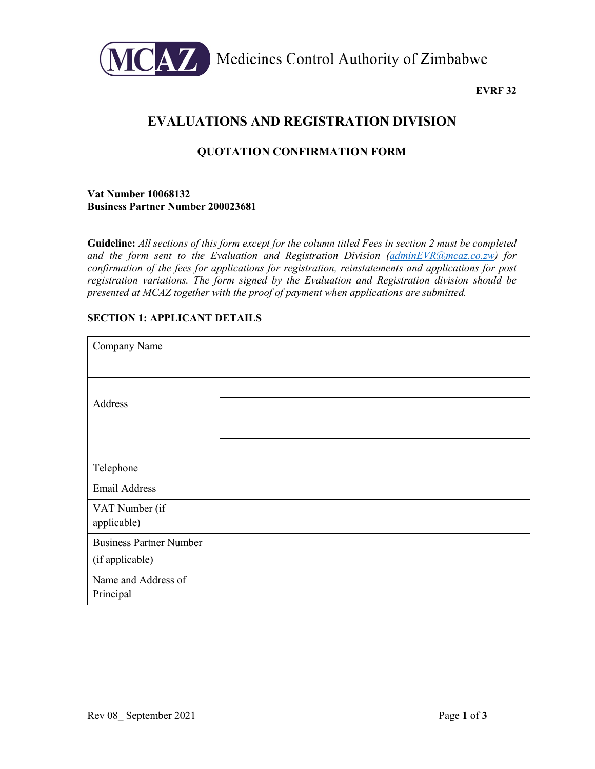

CAZ Medicines Control Authority of Zimbabwe

**EVRF 32**

# **EVALUATIONS AND REGISTRATION DIVISION**

# **QUOTATION CONFIRMATION FORM**

### **Vat Number 10068132 Business Partner Number 200023681**

**Guideline:** *All sections of this form except for the column titled Fees in section 2 must be completed and the form sent to the Evaluation and Registration Division [\(adminEVR@mcaz.co.zw\)](mailto:adminEVR@mcaz.co.zw) for confirmation of the fees for applications for registration, reinstatements and applications for post registration variations. The form signed by the Evaluation and Registration division should be presented at MCAZ together with the proof of payment when applications are submitted.* 

## **SECTION 1: APPLICANT DETAILS**

| Company Name                     |  |
|----------------------------------|--|
|                                  |  |
|                                  |  |
| Address                          |  |
|                                  |  |
|                                  |  |
| Telephone                        |  |
| <b>Email Address</b>             |  |
| VAT Number (if<br>applicable)    |  |
| <b>Business Partner Number</b>   |  |
| (if applicable)                  |  |
| Name and Address of<br>Principal |  |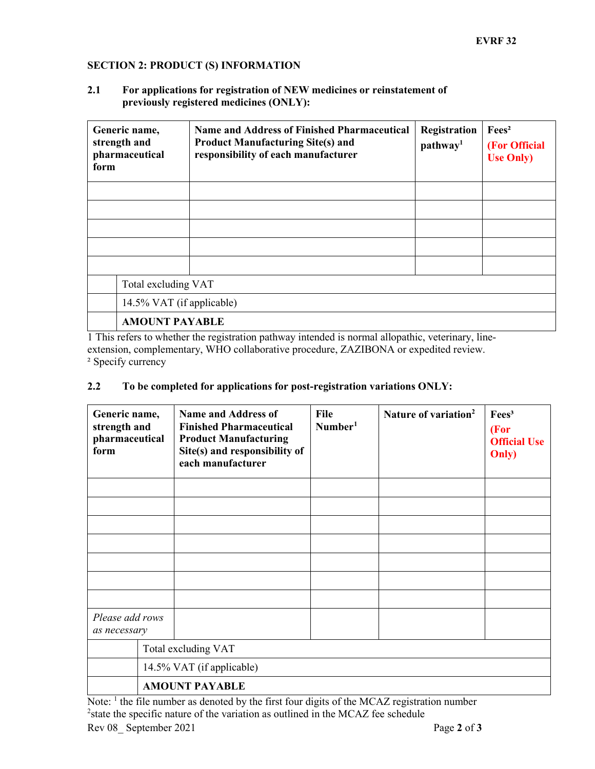# **SECTION 2: PRODUCT (S) INFORMATION**

**2.1 For applications for registration of NEW medicines or reinstatement of previously registered medicines (ONLY):**

| Generic name,<br>strength and<br>pharmaceutical<br>form |  | <b>Name and Address of Finished Pharmaceutical</b><br><b>Product Manufacturing Site(s) and</b><br>responsibility of each manufacturer | Registration<br>$\mathbf{pathway}^1$ | Fees <sup>2</sup><br>(For Official<br><b>Use Only</b> ) |
|---------------------------------------------------------|--|---------------------------------------------------------------------------------------------------------------------------------------|--------------------------------------|---------------------------------------------------------|
|                                                         |  |                                                                                                                                       |                                      |                                                         |
|                                                         |  |                                                                                                                                       |                                      |                                                         |
|                                                         |  |                                                                                                                                       |                                      |                                                         |
|                                                         |  |                                                                                                                                       |                                      |                                                         |
|                                                         |  |                                                                                                                                       |                                      |                                                         |
| Total excluding VAT                                     |  |                                                                                                                                       |                                      |                                                         |
| 14.5% VAT (if applicable)                               |  |                                                                                                                                       |                                      |                                                         |
| <b>AMOUNT PAYABLE</b>                                   |  |                                                                                                                                       |                                      |                                                         |

1 This refers to whether the registration pathway intended is normal allopathic, veterinary, lineextension, complementary, WHO collaborative procedure, ZAZIBONA or expedited review. ² Specify currency

# **2.2 To be completed for applications for post-registration variations ONLY:**

| Generic name,<br>strength and<br>pharmaceutical<br>form |                           | <b>Name and Address of</b><br><b>Finished Pharmaceutical</b><br><b>Product Manufacturing</b><br>Site(s) and responsibility of<br>each manufacturer | File<br>Number <sup>1</sup> | Nature of variation <sup>2</sup> | Fees <sup>3</sup><br>(For<br><b>Official Use</b><br>Only) |
|---------------------------------------------------------|---------------------------|----------------------------------------------------------------------------------------------------------------------------------------------------|-----------------------------|----------------------------------|-----------------------------------------------------------|
|                                                         |                           |                                                                                                                                                    |                             |                                  |                                                           |
|                                                         |                           |                                                                                                                                                    |                             |                                  |                                                           |
|                                                         |                           |                                                                                                                                                    |                             |                                  |                                                           |
|                                                         |                           |                                                                                                                                                    |                             |                                  |                                                           |
|                                                         |                           |                                                                                                                                                    |                             |                                  |                                                           |
|                                                         |                           |                                                                                                                                                    |                             |                                  |                                                           |
|                                                         |                           |                                                                                                                                                    |                             |                                  |                                                           |
| Please add rows<br>as necessary                         |                           |                                                                                                                                                    |                             |                                  |                                                           |
| Total excluding VAT                                     |                           |                                                                                                                                                    |                             |                                  |                                                           |
|                                                         | 14.5% VAT (if applicable) |                                                                                                                                                    |                             |                                  |                                                           |
|                                                         | <b>AMOUNT PAYABLE</b>     |                                                                                                                                                    |                             |                                  |                                                           |

Note:  $\frac{1}{1}$  the file number as denoted by the first four digits of the MCAZ registration number <sup>2</sup> state the specific nature of the variation as outlined in the MCAZ fee schedule